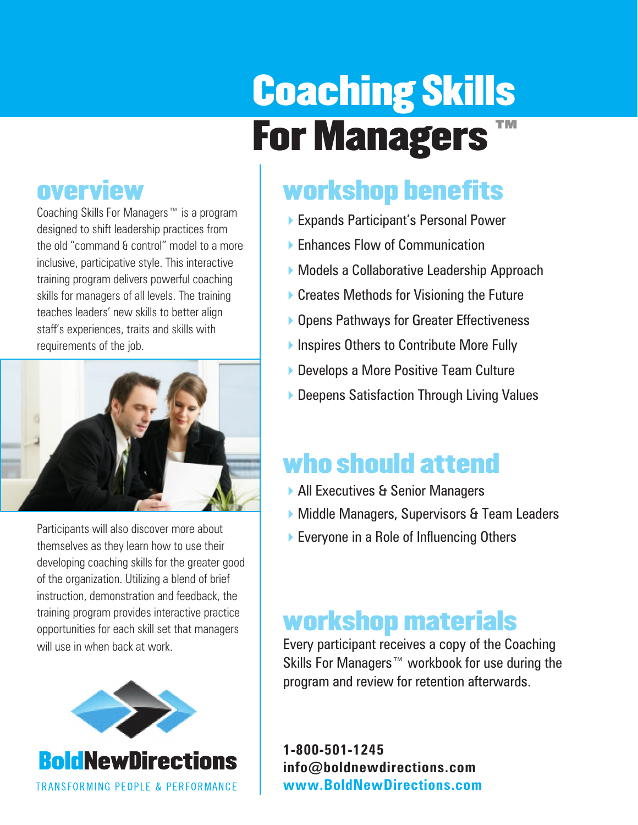# Coaching Skills **For Managers**

# overview

Coaching Skills For Managers™ is a program designed to shift leadership practices from the old "command & control" model to a more inclusive, participative style. This interactive training program delivers powerful coaching skills for managers of all levels. The training teaches leaders' new skills to better align staff's experiences, traits and skills with requirements of the job.



Participants will also discover more about themselves as they learn how to use their developing coaching skills for the greater good of the organization. Utilizing a blend of brief instruction, demonstration and feedback, the training program provides interactive practice opportunities for each skill set that managers will use in when back at work.



# workshop benefits

- 4Expands Participant's Personal Power
- **Enhances Flow of Communication**
- ▶ Models a Collaborative Leadership Approach
- $\triangleright$  Creates Methods for Visioning the Future
- ▶ Opens Pathways for Greater Effectiveness
- ▶ Inspires Others to Contribute More Fully
- ▶ Develops a More Positive Team Culture
- ▶ Deepens Satisfaction Through Living Values

# who should attend

- ▶ All Executives & Senior Managers
- ▶ Middle Managers, Supervisors & Team Leaders
- ▶ Everyone in a Role of Influencing Others

# workshop materials

Every participant receives a copy of the Coaching Skills For Managers™ workbook for use during the program and review for retention afterwards.

**1-800-501-1245 info@boldnewdirections.com www.BoldNewDirections.com**